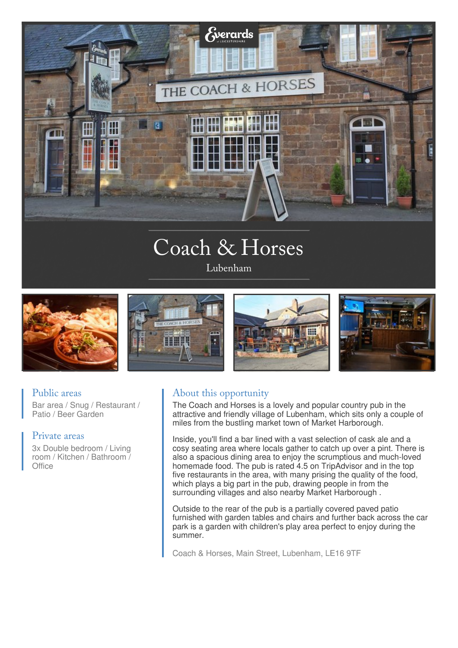

# Coach & Horses

Lubenham



### Public areas

Bar area / Snug / Restaurant / Patio / Beer Garden

#### Private areas

3x Double bedroom / Living room / Kitchen / Bathroom / **Office** 

## About this opportunity

The Coach and Horses is a lovely and popular country pub in the attractive and friendly village of Lubenham, which sits only a couple of miles from the bustling market town of Market Harborough.

Inside, you'll find a bar lined with a vast selection of cask ale and a cosy seating area where locals gather to catch up over a pint. There is also a spacious dining area to enjoy the scrumptious and much-loved homemade food. The pub is rated 4.5 on TripAdvisor and in the top five restaurants in the area, with many prising the quality of the food, which plays a big part in the pub, drawing people in from the surrounding villages and also nearby Market Harborough .

Outside to the rear of the pub is a partially covered paved patio furnished with garden tables and chairs and further back across the car park is a garden with children's play area perfect to enjoy during the summer.

Coach & Horses, Main Street, Lubenham, LE16 9TF